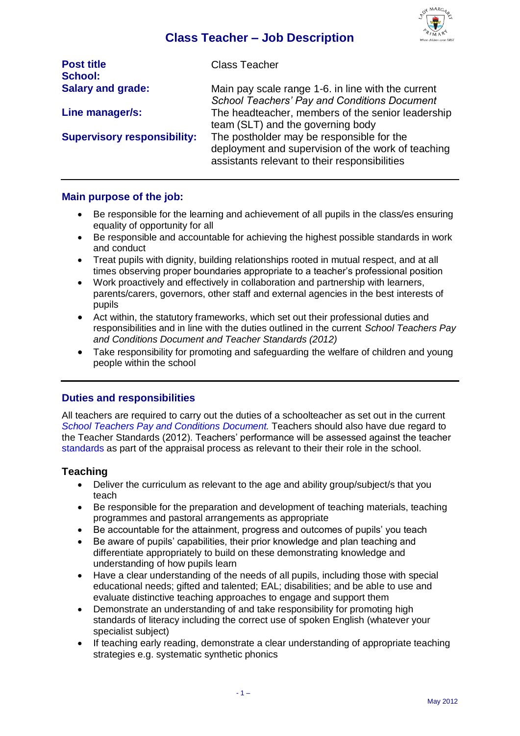# **Class Teacher – Job Description**



**Post title** Class Teacher **School: Salary and grade:** Main pay scale range 1-6. in line with the current *School Teachers' Pay and Conditions Document* **Line manager/s:** The headteacher, members of the senior leadership team (SLT) and the governing body **Supervisory responsibility:** The postholder may be responsible for the deployment and supervision of the work of teaching assistants relevant to their responsibilities

#### **Main purpose of the job:**

- Be responsible for the learning and achievement of all pupils in the class/es ensuring equality of opportunity for all
- Be responsible and accountable for achieving the highest possible standards in work and conduct
- Treat pupils with dignity, building relationships rooted in mutual respect, and at all times observing proper boundaries appropriate to a teacher's professional position
- Work proactively and effectively in collaboration and partnership with learners, parents/carers, governors, other staff and external agencies in the best interests of pupils
- Act within, the statutory frameworks, which set out their professional duties and responsibilities and in line with the duties outlined in the current *School Teachers Pay and Conditions Document and Teacher Standards (2012)*
- Take responsibility for promoting and safeguarding the welfare of children and young people within the school

## **Duties and responsibilities**

All teachers are required to carry out the duties of a schoolteacher as set out in the current *[School Teachers Pay and Conditions](https://www.education.gov.uk/publications/) Document.* Teachers should also have due regard to the Teacher Standards (2012). Teachers' performance will be assessed against the teacher [standards](https://www.education.gov.uk/publications/standard/publicationDetail/Page1/DFE-00066-2011) as part of the appraisal process as relevant to their their role in the school.

## **Teaching**

- Deliver the curriculum as relevant to the age and ability group/subject/s that you teach
- Be responsible for the preparation and development of teaching materials, teaching programmes and pastoral arrangements as appropriate
- Be accountable for the attainment, progress and outcomes of pupils' you teach
- Be aware of pupils' capabilities, their prior knowledge and plan teaching and differentiate appropriately to build on these demonstrating knowledge and understanding of how pupils learn
- Have a clear understanding of the needs of all pupils, including those with special educational needs; gifted and talented; EAL; disabilities; and be able to use and evaluate distinctive teaching approaches to engage and support them
- Demonstrate an understanding of and take responsibility for promoting high standards of literacy including the correct use of spoken English (whatever your specialist subject)
- If teaching early reading, demonstrate a clear understanding of appropriate teaching strategies e.g. systematic synthetic phonics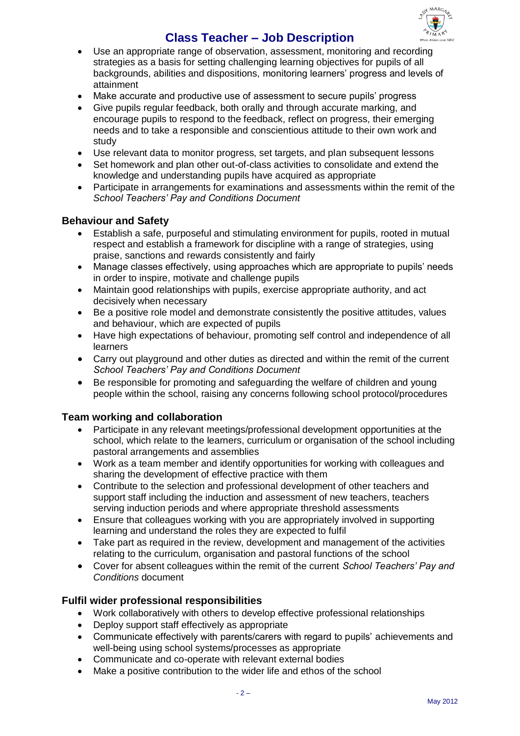

## **Class Teacher – Job Description**

- Use an appropriate range of observation, assessment, monitoring and recording strategies as a basis for setting challenging learning objectives for pupils of all backgrounds, abilities and dispositions, monitoring learners' progress and levels of attainment
- Make accurate and productive use of assessment to secure pupils' progress
- Give pupils regular feedback, both orally and through accurate marking, and encourage pupils to respond to the feedback, reflect on progress, their emerging needs and to take a responsible and conscientious attitude to their own work and study
- Use relevant data to monitor progress, set targets, and plan subsequent lessons
- Set homework and plan other out-of-class activities to consolidate and extend the knowledge and understanding pupils have acquired as appropriate
- Participate in arrangements for examinations and assessments within the remit of the *School Teachers' Pay and Conditions Document*

#### **Behaviour and Safety**

- Establish a safe, purposeful and stimulating environment for pupils, rooted in mutual respect and establish a framework for discipline with a range of strategies, using praise, sanctions and rewards consistently and fairly
- Manage classes effectively, using approaches which are appropriate to pupils' needs in order to inspire, motivate and challenge pupils
- Maintain good relationships with pupils, exercise appropriate authority, and act decisively when necessary
- Be a positive role model and demonstrate consistently the positive attitudes, values and behaviour, which are expected of pupils
- Have high expectations of behaviour, promoting self control and independence of all learners
- Carry out playground and other duties as directed and within the remit of the current *School Teachers' Pay and Conditions Document*
- Be responsible for promoting and safeguarding the welfare of children and young people within the school, raising any concerns following school protocol/procedures

#### **Team working and collaboration**

- Participate in any relevant meetings/professional development opportunities at the school, which relate to the learners, curriculum or organisation of the school including pastoral arrangements and assemblies
- Work as a team member and identify opportunities for working with colleagues and sharing the development of effective practice with them
- Contribute to the selection and professional development of other teachers and support staff including the induction and assessment of new teachers, teachers serving induction periods and where appropriate threshold assessments
- Ensure that colleagues working with you are appropriately involved in supporting learning and understand the roles they are expected to fulfil
- Take part as required in the review, development and management of the activities relating to the curriculum, organisation and pastoral functions of the school
- Cover for absent colleagues within the remit of the current *School Teachers' Pay and Conditions* document

## **Fulfil wider professional responsibilities**

- Work collaboratively with others to develop effective professional relationships
- Deploy support staff effectively as appropriate
- Communicate effectively with parents/carers with regard to pupils' achievements and well-being using school systems/processes as appropriate
- Communicate and co-operate with relevant external bodies
- Make a positive contribution to the wider life and ethos of the school